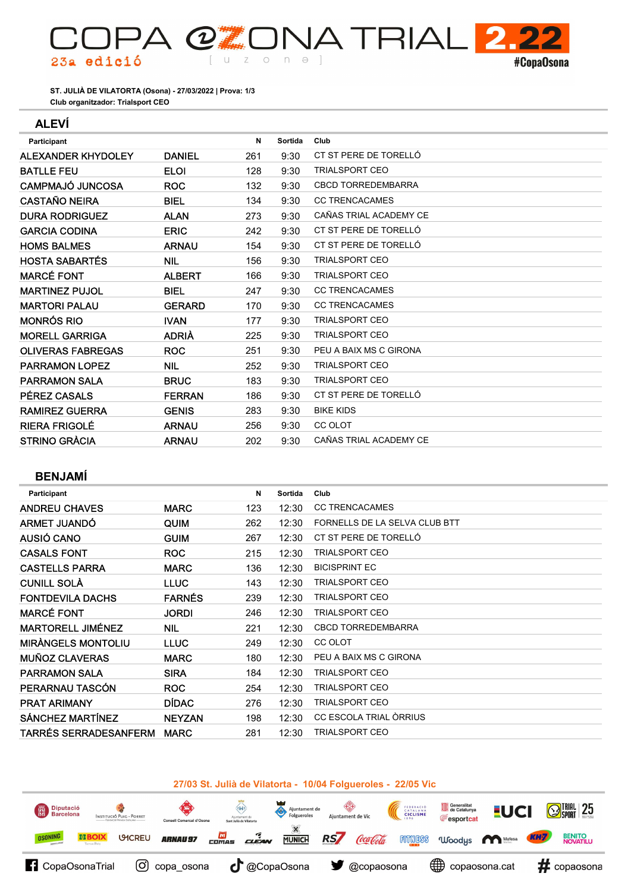Club organitzador: Trialsport CEO ST. JULIÀ DE VILATORTA (Osona) - 27/03/2022 | Prova: 1/3

(2

 $\cup$ 

 $\bigcirc$ 

 $n \theta$ ]

### ALEVÍ

23a edició

| Participant               |               | N   | Sortida | Club                      |
|---------------------------|---------------|-----|---------|---------------------------|
| <b>ALEXANDER KHYDOLEY</b> | <b>DANIEL</b> | 261 | 9:30    | CT ST PERE DE TORELLÓ     |
| <b>BATLLE FEU</b>         | <b>ELOI</b>   | 128 | 9:30    | <b>TRIALSPORT CEO</b>     |
| CAMPMAJÓ JUNCOSA          | <b>ROC</b>    | 132 | 9:30    | <b>CBCD TORREDEMBARRA</b> |
| <b>CASTAÑO NEIRA</b>      | BIEL          | 134 | 9:30    | <b>CC TRENCACAMES</b>     |
| <b>DURA RODRIGUEZ</b>     | <b>ALAN</b>   | 273 | 9:30    | CAÑAS TRIAL ACADEMY CE    |
| <b>GARCIA CODINA</b>      | <b>ERIC</b>   | 242 | 9:30    | CT ST PERE DE TORELLÓ     |
| <b>HOMS BALMES</b>        | <b>ARNAU</b>  | 154 | 9:30    | CT ST PERE DE TORELLÓ     |
| <b>HOSTA SABARTÉS</b>     | <b>NIL</b>    | 156 | 9:30    | <b>TRIALSPORT CEO</b>     |
| <b>MARCÉ FONT</b>         | <b>ALBERT</b> | 166 | 9:30    | <b>TRIALSPORT CEO</b>     |
| <b>MARTINEZ PUJOL</b>     | <b>BIEL</b>   | 247 | 9:30    | <b>CC TRENCACAMES</b>     |
| <b>MARTORI PALAU</b>      | <b>GERARD</b> | 170 | 9:30    | <b>CC TRENCACAMES</b>     |
| <b>MONRÓS RIO</b>         | <b>IVAN</b>   | 177 | 9:30    | <b>TRIALSPORT CEO</b>     |
| <b>MORELL GARRIGA</b>     | <b>ADRIÀ</b>  | 225 | 9:30    | <b>TRIALSPORT CEO</b>     |
| <b>OLIVERAS FABREGAS</b>  | <b>ROC</b>    | 251 | 9:30    | PEU A BAIX MS C GIRONA    |
| <b>PARRAMON LOPEZ</b>     | <b>NIL</b>    | 252 | 9:30    | <b>TRIALSPORT CEO</b>     |
| <b>PARRAMON SALA</b>      | <b>BRUC</b>   | 183 | 9:30    | <b>TRIALSPORT CEO</b>     |
| PÉREZ CASALS              | <b>FERRAN</b> | 186 | 9:30    | CT ST PERE DE TORELLÓ     |
| <b>RAMIREZ GUERRA</b>     | <b>GENIS</b>  | 283 | 9:30    | <b>BIKE KIDS</b>          |
| <b>RIERA FRIGOLÉ</b>      | <b>ARNAU</b>  | 256 | 9:30    | <b>CC OLOT</b>            |
| <b>STRINO GRÀCIA</b>      | <b>ARNAU</b>  | 202 | 9:30    | CAÑAS TRIAL ACADEMY CE    |

 $2.2$ 

#CopaOsona

**A TRIAL** 

# BENJAMÍ

| Participant                  |               | N   | Sortida | Club                          |
|------------------------------|---------------|-----|---------|-------------------------------|
| <b>ANDREU CHAVES</b>         | <b>MARC</b>   | 123 | 12:30   | <b>CC TRENCACAMES</b>         |
| <b>ARMET JUANDO</b>          | QUIM          | 262 | 12:30   | FORNELLS DE LA SELVA CLUB BTT |
| AUSIÓ CANO                   | <b>GUIM</b>   | 267 | 12:30   | CT ST PERE DE TORELLÓ         |
| <b>CASALS FONT</b>           | <b>ROC</b>    | 215 | 12:30   | <b>TRIALSPORT CEO</b>         |
| <b>CASTELLS PARRA</b>        | <b>MARC</b>   | 136 | 12:30   | <b>BICISPRINT EC</b>          |
| <b>CUNILL SOLA</b>           | <b>LLUC</b>   | 143 | 12:30   | <b>TRIALSPORT CEO</b>         |
| <b>FONTDEVILA DACHS</b>      | <b>FARNÉS</b> | 239 | 12:30   | <b>TRIALSPORT CEO</b>         |
| <b>MARCÉ FONT</b>            | <b>JORDI</b>  | 246 | 12:30   | <b>TRIALSPORT CEO</b>         |
| <b>MARTORELL JIMÉNEZ</b>     | <b>NIL</b>    | 221 | 12:30   | <b>CBCD TORREDEMBARRA</b>     |
| <b>MIRANGELS MONTOLIU</b>    | <b>LLUC</b>   | 249 | 12:30   | CC OLOT                       |
| <b>MUÑOZ CLAVERAS</b>        | <b>MARC</b>   | 180 | 12:30   | PEU A BAIX MS C GIRONA        |
| <b>PARRAMON SALA</b>         | <b>SIRA</b>   | 184 | 12:30   | <b>TRIALSPORT CEO</b>         |
| PERARNAU TASCÓN              | <b>ROC</b>    | 254 | 12:30   | <b>TRIALSPORT CEO</b>         |
| <b>PRAT ARIMANY</b>          | <b>DÍDAC</b>  | 276 | 12:30   | <b>TRIALSPORT CEO</b>         |
| <b>SÁNCHEZ MARTÍNEZ</b>      | <b>NEYZAN</b> | 198 | 12:30   | CC ESCOLA TRIAL ÒRRIUS        |
| <b>TARRÉS SERRADESANFERM</b> | <b>MARC</b>   | 281 | 12:30   | <b>TRIALSPORT CEO</b>         |
|                              |               |     |         |                               |

## 27/03 St. Julià de Vilatorta - 10/04 Folgueroles - 22/05 Vic

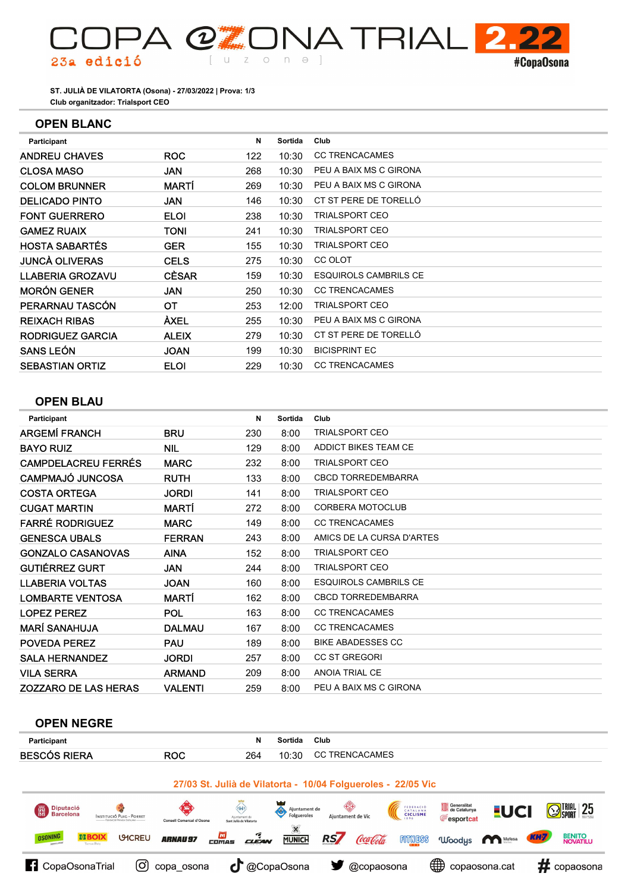

Club organitzador: Trialsport CEO ST. JULIÀ DE VILATORTA (Osona) - 27/03/2022 | Prova: 1/3

## OPEN BLANC

| Participant             |              | N   | Sortida | Club                         |
|-------------------------|--------------|-----|---------|------------------------------|
| <b>ANDREU CHAVES</b>    | <b>ROC</b>   | 122 | 10:30   | <b>CC TRENCACAMES</b>        |
| <b>CLOSA MASO</b>       | <b>JAN</b>   | 268 | 10:30   | PEU A BAIX MS C GIRONA       |
| <b>COLOM BRUNNER</b>    | MARTÍ        | 269 | 10:30   | PEU A BAIX MS C GIRONA       |
| <b>DELICADO PINTO</b>   | <b>JAN</b>   | 146 | 10:30   | CT ST PERE DE TORELLÓ        |
| <b>FONT GUERRERO</b>    | <b>ELOI</b>  | 238 | 10:30   | TRIALSPORT CEO               |
| <b>GAMEZ RUAIX</b>      | TONI         | 241 | 10:30   | TRIALSPORT CEO               |
| <b>HOSTA SABARTÉS</b>   | <b>GER</b>   | 155 | 10:30   | <b>TRIALSPORT CEO</b>        |
| <b>JUNCÀ OLIVERAS</b>   | <b>CELS</b>  | 275 | 10:30   | CC OLOT                      |
| <b>LLABERIA GROZAVU</b> | <b>CÈSAR</b> | 159 | 10:30   | <b>ESQUIROLS CAMBRILS CE</b> |
| <b>MORÓN GENER</b>      | <b>JAN</b>   | 250 | 10:30   | <b>CC TRENCACAMES</b>        |
| PERARNAU TASCÓN         | ОT           | 253 | 12:00   | <b>TRIALSPORT CEO</b>        |
| <b>REIXACH RIBAS</b>    | ÀXEL         | 255 | 10:30   | PEU A BAIX MS C GIRONA       |
| <b>RODRIGUEZ GARCIA</b> | <b>ALEIX</b> | 279 | 10:30   | CT ST PERE DE TORELLÓ        |
| <b>SANS LEÓN</b>        | <b>JOAN</b>  | 199 | 10:30   | <b>BICISPRINT EC</b>         |
| <b>SEBASTIAN ORTIZ</b>  | <b>ELOI</b>  | 229 | 10:30   | <b>CC TRENCACAMES</b>        |
|                         |              |     |         |                              |

# OPEN BLAU

| <b>Participant</b>          |                | N   | Sortida | Club                         |
|-----------------------------|----------------|-----|---------|------------------------------|
| <b>ARGEMÍ FRANCH</b>        | <b>BRU</b>     | 230 | 8:00    | <b>TRIALSPORT CEO</b>        |
| <b>BAYO RUIZ</b>            | <b>NIL</b>     | 129 | 8:00    | <b>ADDICT BIKES TEAM CE</b>  |
| <b>CAMPDELACREU FERRÉS</b>  | <b>MARC</b>    | 232 | 8:00    | <b>TRIALSPORT CEO</b>        |
| <b>CAMPMAJÓ JUNCOSA</b>     | <b>RUTH</b>    | 133 | 8:00    | <b>CBCD TORREDEMBARRA</b>    |
| <b>COSTA ORTEGA</b>         | <b>JORDI</b>   | 141 | 8:00    | <b>TRIALSPORT CEO</b>        |
| <b>CUGAT MARTIN</b>         | MARTÍ          | 272 | 8:00    | <b>CORBERA MOTOCLUB</b>      |
| <b>FARRÉ RODRIGUEZ</b>      | <b>MARC</b>    | 149 | 8:00    | <b>CC TRENCACAMES</b>        |
| <b>GENESCA UBALS</b>        | <b>FERRAN</b>  | 243 | 8:00    | AMICS DE LA CURSA D'ARTES    |
| <b>GONZALO CASANOVAS</b>    | <b>AINA</b>    | 152 | 8:00    | <b>TRIALSPORT CEO</b>        |
| <b>GUTIÉRREZ GURT</b>       | <b>JAN</b>     | 244 | 8:00    | <b>TRIALSPORT CEO</b>        |
| <b>LLABERIA VOLTAS</b>      | <b>JOAN</b>    | 160 | 8:00    | <b>ESQUIROLS CAMBRILS CE</b> |
| <b>LOMBARTE VENTOSA</b>     | MARTÍ          | 162 | 8:00    | <b>CBCD TORREDEMBARRA</b>    |
| <b>LOPEZ PEREZ</b>          | <b>POL</b>     | 163 | 8:00    | <b>CC TRENCACAMES</b>        |
| <b>MARÍ SANAHUJA</b>        | <b>DALMAU</b>  | 167 | 8:00    | <b>CC TRENCACAMES</b>        |
| <b>POVEDA PEREZ</b>         | PAU            | 189 | 8:00    | <b>BIKE ABADESSES CC</b>     |
| <b>SALA HERNANDEZ</b>       | <b>JORDI</b>   | 257 | 8:00    | <b>CC ST GREGORI</b>         |
| <b>VILA SERRA</b>           | <b>ARMAND</b>  | 209 | 8:00    | ANOIA TRIAL CE               |
| <b>ZOZZARO DE LAS HERAS</b> | <b>VALENTI</b> | 259 | 8:00    | PEU A BAIX MS C GIRONA       |

### OPEN NEGRE

| <b>Participant</b>                                                                                 | N                                                                                                                              | Sortida                          | Club                                                         |                                                                 |                                         |
|----------------------------------------------------------------------------------------------------|--------------------------------------------------------------------------------------------------------------------------------|----------------------------------|--------------------------------------------------------------|-----------------------------------------------------------------|-----------------------------------------|
| <b>BESCÓS RIERA</b>                                                                                | <b>ROC</b><br>264                                                                                                              | 10:30                            | <b>CC TRENCACAMES</b>                                        |                                                                 |                                         |
|                                                                                                    |                                                                                                                                |                                  | 27/03 St. Julià de Vilatorta - 10/04 Folgueroles - 22/05 Vic |                                                                 |                                         |
| Diputació<br>Barcelona<br>團<br>INSTITUCIÓ PUIC - PORRET                                            | <b>OF A</b><br>$\left\langle \mathbf{H} \right\rangle$<br>Aiuntament de<br>Consell Comarcal d'Osona<br>Sant Julià de Vilatorta | Ajuntament de<br><br>Folgueroles | ₩<br>FEDERACIÓ<br>CATALANA<br>CICLISME<br>Aiuntament de Vic  | Generalitat<br>de Catalunya<br><b>EUCI</b><br><b>Fesportcat</b> | $\bigcirc$ Trial 25                     |
| <b>EIBOIX</b><br><b>OSONING</b><br><b>UMCREU</b><br><b>CATHER &amp; SPORT</b><br><b>Longs Baix</b> | ؠ<br><b>FOT</b><br><b>ARNAU 97</b><br><b>CIEAN</b><br>COMAS                                                                    | X<br><b>MUNICH</b>               | RS/<br>Coca Cola<br><b>FITNESS</b>                           | 'Woodys <b>Mafesa</b>                                           | <b>BENITO</b><br><b>NOVATILU</b><br>KH7 |
| <b>f</b> CopaOsonaTrial<br>(Oʻ                                                                     | СГ<br>copa_osona                                                                                                               | @CopaOsona                       | @copaosona                                                   | ⊕<br>copaosona.cat                                              | #<br>copaosona                          |